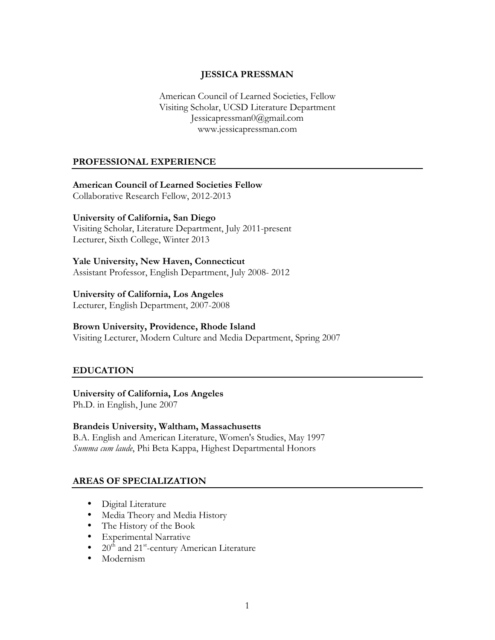### **JESSICA PRESSMAN**

American Council of Learned Societies, Fellow Visiting Scholar, UCSD Literature Department Jessicapressman0@gmail.com www.jessicapressman.com

#### **PROFESSIONAL EXPERIENCE**

#### **American Council of Learned Societies Fellow**

Collaborative Research Fellow, 2012-2013

#### **University of California, San Diego**

Visiting Scholar, Literature Department, July 2011-present Lecturer, Sixth College, Winter 2013

#### **Yale University, New Haven, Connecticut**

Assistant Professor, English Department, July 2008- 2012

#### **University of California, Los Angeles**

Lecturer, English Department, 2007-2008

#### **Brown University, Providence, Rhode Island**

Visiting Lecturer, Modern Culture and Media Department, Spring 2007

#### **EDUCATION**

#### **University of California, Los Angeles**

Ph.D. in English, June 2007

#### **Brandeis University, Waltham, Massachusetts**

B.A. English and American Literature, Women's Studies, May 1997 *Summa cum laude*, Phi Beta Kappa, Highest Departmental Honors

#### **AREAS OF SPECIALIZATION**

- Digital Literature
- Media Theory and Media History
- The History of the Book
- Experimental Narrative
- $20<sup>th</sup>$  and  $21<sup>st</sup>$ -century American Literature
- Modernism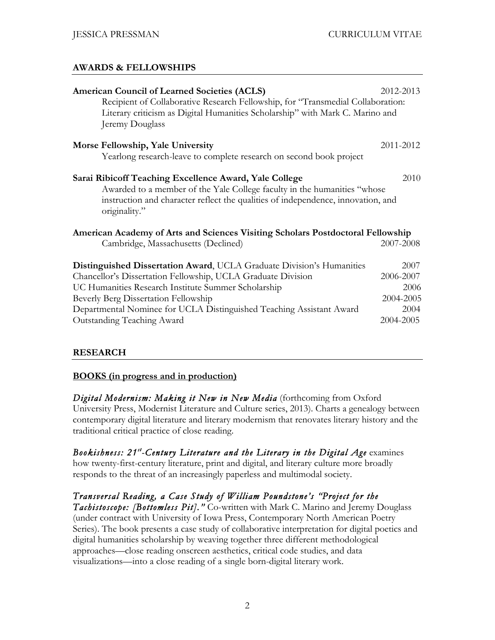### **AWARDS & FELLOWSHIPS**

| <b>American Council of Learned Societies (ACLS)</b><br>Recipient of Collaborative Research Fellowship, for "Transmedial Collaboration:<br>Literary criticism as Digital Humanities Scholarship" with Mark C. Marino and<br>Jeremy Douglass      | 2012-2013 |
|-------------------------------------------------------------------------------------------------------------------------------------------------------------------------------------------------------------------------------------------------|-----------|
| Morse Fellowship, Yale University                                                                                                                                                                                                               | 2011-2012 |
| Yearlong research-leave to complete research on second book project                                                                                                                                                                             |           |
| 2010<br>Sarai Ribicoff Teaching Excellence Award, Yale College<br>Awarded to a member of the Yale College faculty in the humanities "whose<br>instruction and character reflect the qualities of independence, innovation, and<br>originality." |           |
| American Academy of Arts and Sciences Visiting Scholars Postdoctoral Fellowship                                                                                                                                                                 |           |
| Cambridge, Massachusetts (Declined)                                                                                                                                                                                                             | 2007-2008 |
| <b>Distinguished Dissertation Award, UCLA Graduate Division's Humanities</b>                                                                                                                                                                    | 2007      |
| Chancellor's Dissertation Fellowship, UCLA Graduate Division                                                                                                                                                                                    | 2006-2007 |
| UC Humanities Research Institute Summer Scholarship                                                                                                                                                                                             | 2006      |
| Beverly Berg Dissertation Fellowship                                                                                                                                                                                                            | 2004-2005 |
| Departmental Nominee for UCLA Distinguished Teaching Assistant Award                                                                                                                                                                            | 2004      |
| <b>Outstanding Teaching Award</b>                                                                                                                                                                                                               | 2004-2005 |

#### **RESEARCH**

#### **BOOKS (in progress and in production)**

*Digital Modernism: Making it New in New Media* (forthcoming from Oxford University Press, Modernist Literature and Culture series, 2013). Charts a genealogy between contemporary digital literature and literary modernism that renovates literary history and the traditional critical practice of close reading.

*Bookishness: 21st -Century Literature and the Literary in the Digital Age* examines how twenty-first-century literature, print and digital, and literary culture more broadly responds to the threat of an increasingly paperless and multimodal society.

*Transversal Reading, a Case Study of William Poundstone's "Project for the Tachistoscope: [Bottomless Pit]."* Co-written with Mark C. Marino and Jeremy Douglass (under contract with University of Iowa Press, Contemporary North American Poetry Series). The book presents a case study of collaborative interpretation for digital poetics and digital humanities scholarship by weaving together three different methodological approaches—close reading onscreen aesthetics, critical code studies, and data visualizations—into a close reading of a single born-digital literary work.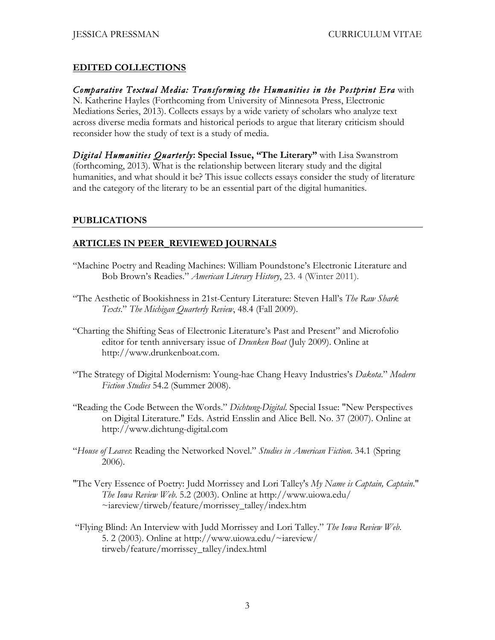## **EDITED COLLECTIONS**

## *Comparative Textual Media: Transforming the Humanities in the Postprint Era* with

N. Katherine Hayles (Forthcoming from University of Minnesota Press, Electronic Mediations Series, 2013). Collects essays by a wide variety of scholars who analyze text across diverse media formats and historical periods to argue that literary criticism should reconsider how the study of text is a study of media.

*Digital Humanities Quarterly***: Special Issue, "The Literary"** with Lisa Swanstrom (forthcoming, 2013). What is the relationship between literary study and the digital humanities, and what should it be? This issue collects essays consider the study of literature and the category of the literary to be an essential part of the digital humanities.

### **PUBLICATIONS**

## **ARTICLES IN PEER\_REVIEWED JOURNALS**

- "Machine Poetry and Reading Machines: William Poundstone's Electronic Literature and Bob Brown's Readies." *American Literary History*, 23. 4 (Winter 2011).
- "The Aesthetic of Bookishness in 21st-Century Literature: Steven Hall's *The Raw Shark Texts*." *The Michigan Quarterly Review*, 48.4 (Fall 2009).
- "Charting the Shifting Seas of Electronic Literature's Past and Present" and Microfolio editor for tenth anniversary issue of *Drunken Boat* (July 2009). Online at http://www.drunkenboat.com.
- "The Strategy of Digital Modernism: Young-hae Chang Heavy Industries's *Dakota*." *Modern Fiction Studies* 54.2 (Summer 2008).
- "Reading the Code Between the Words." *Dichtung-Digital*. Special Issue: "New Perspectives on Digital Literature." Eds. Astrid Ensslin and Alice Bell. No. 37 (2007). Online at http://www.dichtung-digital.com
- "*House of Leaves*: Reading the Networked Novel." *Studies in American Fiction*. 34.1 (Spring 2006).
- "The Very Essence of Poetry: Judd Morrissey and Lori Talley's *My Name is Captain, Captain*." *The Iowa Review Web*. 5.2 (2003). Online at http://www.uiowa.edu/ ~iareview/tirweb/feature/morrissey\_talley/index.htm
- "Flying Blind: An Interview with Judd Morrissey and Lori Talley." *The Iowa Review Web*. 5. 2 (2003). Online at http://www.uiowa.edu/~iareview/ tirweb/feature/morrissey\_talley/index.html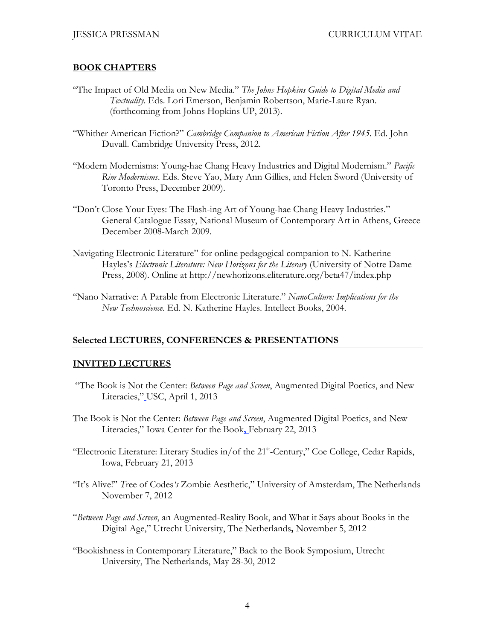#### **BOOK CHAPTERS**

- "The Impact of Old Media on New Media." *The Johns Hopkins Guide to Digital Media and Textuality*. Eds. Lori Emerson, Benjamin Robertson, Marie-Laure Ryan. (forthcoming from Johns Hopkins UP, 2013).
- "Whither American Fiction?" *Cambridge Companion to American Fiction After 1945*. Ed. John Duvall. Cambridge University Press, 2012.
- "Modern Modernisms: Young-hae Chang Heavy Industries and Digital Modernism." *Pacific Rim Modernisms*. Eds. Steve Yao, Mary Ann Gillies, and Helen Sword (University of Toronto Press, December 2009).
- "Don't Close Your Eyes: The Flash-ing Art of Young-hae Chang Heavy Industries." General Catalogue Essay, National Museum of Contemporary Art in Athens, Greece December 2008-March 2009.
- Navigating Electronic Literature" for online pedagogical companion to N. Katherine Hayles's *Electronic Literature: New Horizons for the Literary* (University of Notre Dame Press, 2008). Online at http://newhorizons.eliterature.org/beta47/index.php
- "Nano Narrative: A Parable from Electronic Literature." *NanoCulture: Implications for the New Technoscience*. Ed. N. Katherine Hayles. Intellect Books, 2004.

#### **Selected LECTURES, CONFERENCES & PRESENTATIONS**

#### **INVITED LECTURES**

- "The Book is Not the Center: *Between Page and Screen*, Augmented Digital Poetics, and New Literacies," USC, April 1, 2013
- The Book is Not the Center: *Between Page and Screen*, Augmented Digital Poetics, and New Literacies," Iowa Center for the Book**,** February 22, 2013
- "Electronic Literature: Literary Studies in/of the 21<sup>st</sup>-Century," Coe College, Cedar Rapids, Iowa, February 21, 2013
- "It's Alive!" *T*ree of Codes*'s* Zombie Aesthetic," University of Amsterdam, The Netherlands November 7, 2012
- "*Between Page and Screen*, an Augmented-Reality Book, and What it Says about Books in the Digital Age," Utrecht University, The Netherlands**,** November 5, 2012
- "Bookishness in Contemporary Literature," Back to the Book Symposium, Utrecht University, The Netherlands, May 28-30, 2012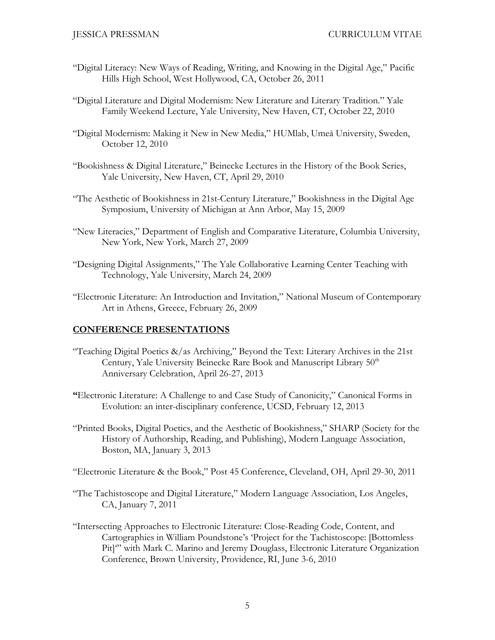- "Digital Literacy: New Ways of Reading, Writing, and Knowing in the Digital Age," Pacific Hills High School, West Hollywood, CA, October 26, 2011
- "Digital Literature and Digital Modernism: New Literature and Literary Tradition." Yale Family Weekend Lecture, Yale University, New Haven, CT, October 22, 2010
- "Digital Modernism: Making it New in New Media," HUMlab, Umeå University, Sweden, October 12, 2010
- "Bookishness & Digital Literature," Beinecke Lectures in the History of the Book Series, Yale University, New Haven, CT, April 29, 2010
- "The Aesthetic of Bookishness in 21st-Century Literature," Bookishness in the Digital Age Symposium, University of Michigan at Ann Arbor, May 15, 2009
- "New Literacies," Department of English and Comparative Literature, Columbia University, New York, New York, March 27, 2009
- "Designing Digital Assignments," The Yale Collaborative Learning Center Teaching with Technology, Yale University, March 24, 2009
- "Electronic Literature: An Introduction and Invitation," National Museum of Contemporary Art in Athens, Greece, February 26, 2009

## **CONFERENCE PRESENTATIONS**

- "Teaching Digital Poetics  $\&$ /as Archiving," Beyond the Text: Literary Archives in the 21st Century, Yale University Beinecke Rare Book and Manuscript Library 50<sup>th</sup> Anniversary Celebration, April 26-27, 2013
- **"**Electronic Literature: A Challenge to and Case Study of Canonicity," Canonical Forms in Evolution: an inter-disciplinary conference, UCSD, February 12, 2013
- "Printed Books, Digital Poetics, and the Aesthetic of Bookishness," SHARP (Society for the History of Authorship, Reading, and Publishing), Modern Language Association, Boston, MA, January 3, 2013
- "Electronic Literature & the Book," Post 45 Conference, Cleveland, OH, April 29-30, 2011
- "The Tachistoscope and Digital Literature," Modern Language Association, Los Angeles, CA, January 7, 2011
- "Intersecting Approaches to Electronic Literature: Close-Reading Code, Content, and Cartographies in William Poundstone's 'Project for the Tachistoscope: [Bottomless Pit]'" with Mark C. Marino and Jeremy Douglass, Electronic Literature Organization Conference, Brown University, Providence, RI, June 3-6, 2010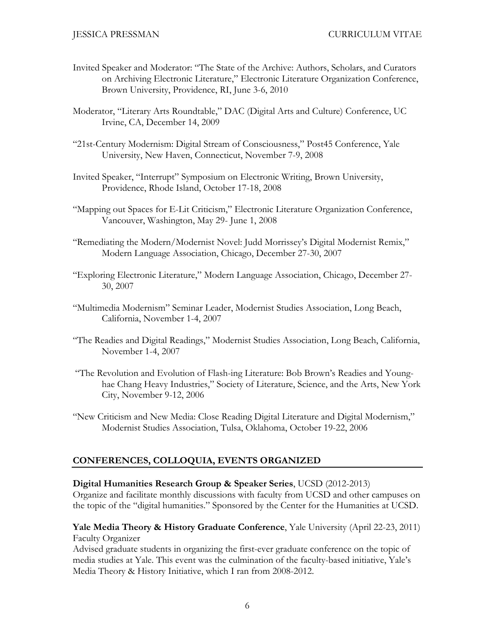- Invited Speaker and Moderator: "The State of the Archive: Authors, Scholars, and Curators on Archiving Electronic Literature," Electronic Literature Organization Conference, Brown University, Providence, RI, June 3-6, 2010
- Moderator, "Literary Arts Roundtable," DAC (Digital Arts and Culture) Conference, UC Irvine, CA, December 14, 2009
- "21st-Century Modernism: Digital Stream of Consciousness," Post45 Conference, Yale University, New Haven, Connecticut, November 7-9, 2008
- Invited Speaker, "Interrupt" Symposium on Electronic Writing, Brown University, Providence, Rhode Island, October 17-18, 2008
- "Mapping out Spaces for E-Lit Criticism," Electronic Literature Organization Conference, Vancouver, Washington, May 29- June 1, 2008
- "Remediating the Modern/Modernist Novel: Judd Morrissey's Digital Modernist Remix," Modern Language Association, Chicago, December 27-30, 2007
- "Exploring Electronic Literature," Modern Language Association, Chicago, December 27- 30, 2007
- "Multimedia Modernism" Seminar Leader, Modernist Studies Association, Long Beach, California, November 1-4, 2007
- "The Readies and Digital Readings," Modernist Studies Association, Long Beach, California, November 1-4, 2007
- "The Revolution and Evolution of Flash-ing Literature: Bob Brown's Readies and Younghae Chang Heavy Industries," Society of Literature, Science, and the Arts, New York City, November 9-12, 2006
- "New Criticism and New Media: Close Reading Digital Literature and Digital Modernism," Modernist Studies Association, Tulsa, Oklahoma, October 19-22, 2006

## **CONFERENCES, COLLOQUIA, EVENTS ORGANIZED**

#### **Digital Humanities Research Group & Speaker Series**, UCSD (2012-2013)

Organize and facilitate monthly discussions with faculty from UCSD and other campuses on the topic of the "digital humanities." Sponsored by the Center for the Humanities at UCSD.

### **Yale Media Theory & History Graduate Conference**, Yale University (April 22-23, 2011) Faculty Organizer

Advised graduate students in organizing the first-ever graduate conference on the topic of media studies at Yale. This event was the culmination of the faculty-based initiative, Yale's Media Theory & History Initiative, which I ran from 2008-2012.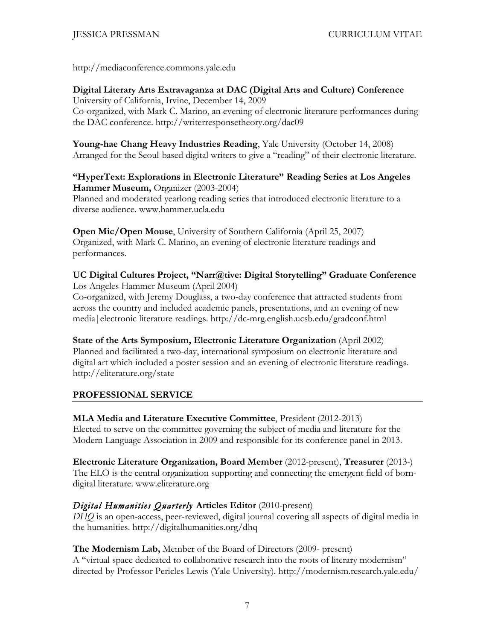http://mediaconference.commons.yale.edu

**Digital Literary Arts Extravaganza at DAC (Digital Arts and Culture) Conference** University of California, Irvine, December 14, 2009 Co-organized, with Mark C. Marino, an evening of electronic literature performances during the DAC conference. http://writerresponsetheory.org/dac09

**Young-hae Chang Heavy Industries Reading**, Yale University (October 14, 2008) Arranged for the Seoul-based digital writers to give a "reading" of their electronic literature.

**"HyperText: Explorations in Electronic Literature" Reading Series at Los Angeles Hammer Museum,** Organizer (2003-2004) Planned and moderated yearlong reading series that introduced electronic literature to a diverse audience. www.hammer.ucla.edu

**Open Mic/Open Mouse**, University of Southern California (April 25, 2007) Organized, with Mark C. Marino, an evening of electronic literature readings and performances.

### **UC Digital Cultures Project, "Narr@tive: Digital Storytelling" Graduate Conference** Los Angeles Hammer Museum (April 2004)

Co-organized, with Jeremy Douglass, a two-day conference that attracted students from across the country and included academic panels, presentations, and an evening of new media|electronic literature readings. http://dc-mrg.english.ucsb.edu/gradconf.html

**State of the Arts Symposium, Electronic Literature Organization** (April 2002) Planned and facilitated a two-day, international symposium on electronic literature and digital art which included a poster session and an evening of electronic literature readings. http://eliterature.org/state

## **PROFESSIONAL SERVICE**

**MLA Media and Literature Executive Committee**, President (2012-2013) Elected to serve on the committee governing the subject of media and literature for the Modern Language Association in 2009 and responsible for its conference panel in 2013.

**Electronic Literature Organization, Board Member** (2012-present), **Treasurer** (2013-) The ELO is the central organization supporting and connecting the emergent field of borndigital literature. www.eliterature.org

## *Digital Humanities Quarterly* **Articles Editor** (2010-present)

*DHQ* is an open-access, peer-reviewed, digital journal covering all aspects of digital media in the humanities. http://digitalhumanities.org/dhq

**The Modernism Lab,** Member of the Board of Directors (2009- present) A "virtual space dedicated to collaborative research into the roots of literary modernism" directed by Professor Pericles Lewis (Yale University). http://modernism.research.yale.edu/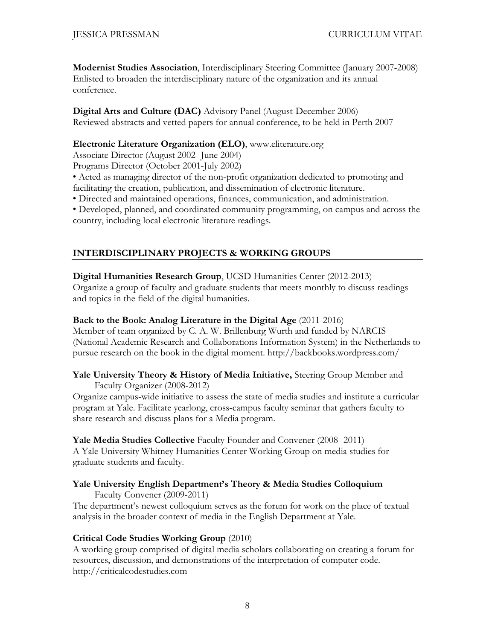**Modernist Studies Association**, Interdisciplinary Steering Committee (January 2007-2008) Enlisted to broaden the interdisciplinary nature of the organization and its annual conference.

**Digital Arts and Culture (DAC)** Advisory Panel (August-December 2006) Reviewed abstracts and vetted papers for annual conference, to be held in Perth 2007

### **Electronic Literature Organization (ELO)**, www.eliterature.org

Associate Director (August 2002- June 2004)

Programs Director (October 2001-July 2002)

• Acted as managing director of the non-profit organization dedicated to promoting and facilitating the creation, publication, and dissemination of electronic literature.

• Directed and maintained operations, finances, communication, and administration.

• Developed, planned, and coordinated community programming, on campus and across the country, including local electronic literature readings.

## **INTERDISCIPLINARY PROJECTS & WORKING GROUPS**

**Digital Humanities Research Group**, UCSD Humanities Center (2012-2013) Organize a group of faculty and graduate students that meets monthly to discuss readings and topics in the field of the digital humanities.

### **Back to the Book: Analog Literature in the Digital Age** (2011-2016)

Member of team organized by C. A. W. Brillenburg Wurth and funded by NARCIS (National Academic Research and Collaborations Information System) in the Netherlands to pursue research on the book in the digital moment. http://backbooks.wordpress.com/

#### **Yale University Theory & History of Media Initiative,** Steering Group Member and Faculty Organizer (2008-2012)

Organize campus-wide initiative to assess the state of media studies and institute a curricular program at Yale. Facilitate yearlong, cross-campus faculty seminar that gathers faculty to share research and discuss plans for a Media program.

#### **Yale Media Studies Collective** Faculty Founder and Convener (2008- 2011)

A Yale University Whitney Humanities Center Working Group on media studies for graduate students and faculty.

## **Yale University English Department's Theory & Media Studies Colloquium**

Faculty Convener (2009-2011)

The department's newest colloquium serves as the forum for work on the place of textual analysis in the broader context of media in the English Department at Yale.

## **Critical Code Studies Working Group** (2010)

A working group comprised of digital media scholars collaborating on creating a forum for resources, discussion, and demonstrations of the interpretation of computer code. http://criticalcodestudies.com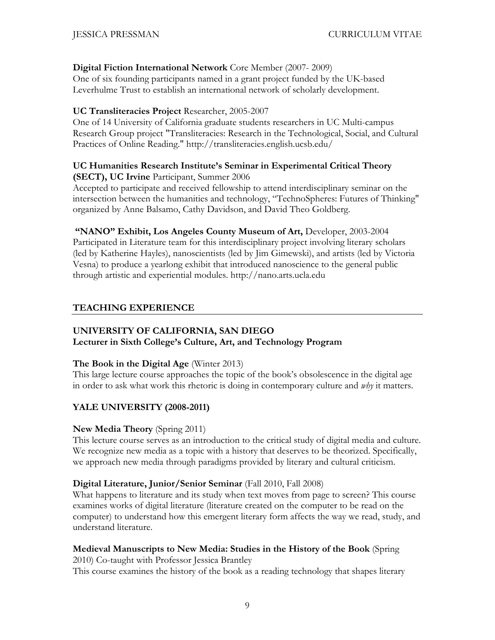### **Digital Fiction International Network** Core Member (2007- 2009)

One of six founding participants named in a grant project funded by the UK-based Leverhulme Trust to establish an international network of scholarly development.

### **UC Transliteracies Project** Researcher, 2005-2007

One of 14 University of California graduate students researchers in UC Multi-campus Research Group project "Transliteracies: Research in the Technological, Social, and Cultural Practices of Online Reading." http://transliteracies.english.ucsb.edu/

#### **UC Humanities Research Institute's Seminar in Experimental Critical Theory (SECT), UC Irvine** Participant, Summer 2006

Accepted to participate and received fellowship to attend interdisciplinary seminar on the intersection between the humanities and technology, "TechnoSpheres: Futures of Thinking" organized by Anne Balsamo, Cathy Davidson, and David Theo Goldberg.

**"NANO" Exhibit, Los Angeles County Museum of Art,** Developer, 2003-2004 Participated in Literature team for this interdisciplinary project involving literary scholars (led by Katherine Hayles), nanoscientists (led by Jim Gimewski), and artists (led by Victoria Vesna) to produce a yearlong exhibit that introduced nanoscience to the general public through artistic and experiential modules. http://nano.arts.ucla.edu

## **TEACHING EXPERIENCE**

# **UNIVERSITY OF CALIFORNIA, SAN DIEGO**

## **Lecturer in Sixth College's Culture, Art, and Technology Program**

## **The Book in the Digital Age** (Winter 2013)

This large lecture course approaches the topic of the book's obsolescence in the digital age in order to ask what work this rhetoric is doing in contemporary culture and *why* it matters.

## **YALE UNIVERSITY (2008-2011)**

## **New Media Theory** (Spring 2011)

This lecture course serves as an introduction to the critical study of digital media and culture. We recognize new media as a topic with a history that deserves to be theorized. Specifically, we approach new media through paradigms provided by literary and cultural criticism.

## **Digital Literature, Junior/Senior Seminar** (Fall 2010, Fall 2008)

What happens to literature and its study when text moves from page to screen? This course examines works of digital literature (literature created on the computer to be read on the computer) to understand how this emergent literary form affects the way we read, study, and understand literature.

## **Medieval Manuscripts to New Media: Studies in the History of the Book** (Spring

2010) Co-taught with Professor Jessica Brantley This course examines the history of the book as a reading technology that shapes literary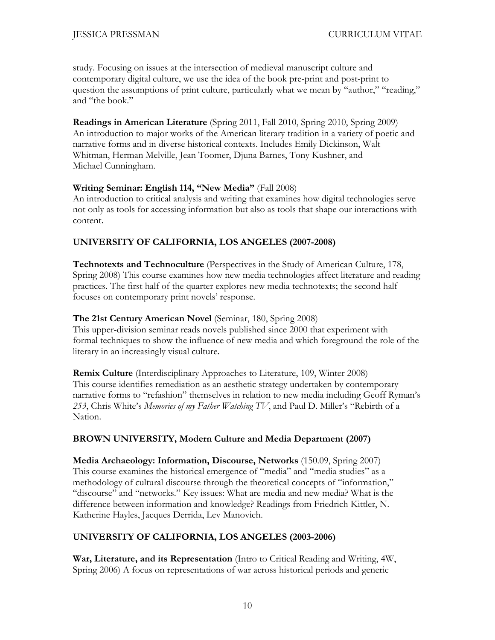study. Focusing on issues at the intersection of medieval manuscript culture and contemporary digital culture, we use the idea of the book pre-print and post-print to question the assumptions of print culture, particularly what we mean by "author," "reading," and "the book."

**Readings in American Literature** (Spring 2011, Fall 2010, Spring 2010, Spring 2009) An introduction to major works of the American literary tradition in a variety of poetic and narrative forms and in diverse historical contexts. Includes Emily Dickinson, Walt Whitman, Herman Melville, Jean Toomer, Djuna Barnes, Tony Kushner, and Michael Cunningham.

#### **Writing Seminar: English 114, "New Media"** (Fall 2008)

An introduction to critical analysis and writing that examines how digital technologies serve not only as tools for accessing information but also as tools that shape our interactions with content.

## **UNIVERSITY OF CALIFORNIA, LOS ANGELES (2007-2008)**

**Technotexts and Technoculture** (Perspectives in the Study of American Culture, 178, Spring 2008) This course examines how new media technologies affect literature and reading practices. The first half of the quarter explores new media technotexts; the second half focuses on contemporary print novels' response.

### **The 21st Century American Novel** (Seminar, 180, Spring 2008)

This upper-division seminar reads novels published since 2000 that experiment with formal techniques to show the influence of new media and which foreground the role of the literary in an increasingly visual culture.

**Remix Culture** (Interdisciplinary Approaches to Literature, 109, Winter 2008) This course identifies remediation as an aesthetic strategy undertaken by contemporary narrative forms to "refashion" themselves in relation to new media including Geoff Ryman's *253*, Chris White's *Memories of my Father Watching TV*, and Paul D. Miller's "Rebirth of a Nation.

## **BROWN UNIVERSITY, Modern Culture and Media Department (2007)**

**Media Archaeology: Information, Discourse, Networks** (150.09, Spring 2007) This course examines the historical emergence of "media" and "media studies" as a methodology of cultural discourse through the theoretical concepts of "information," "discourse" and "networks." Key issues: What are media and new media? What is the difference between information and knowledge? Readings from Friedrich Kittler, N. Katherine Hayles, Jacques Derrida, Lev Manovich.

## **UNIVERSITY OF CALIFORNIA, LOS ANGELES (2003-2006)**

**War, Literature, and its Representation** (Intro to Critical Reading and Writing, 4W, Spring 2006) A focus on representations of war across historical periods and generic